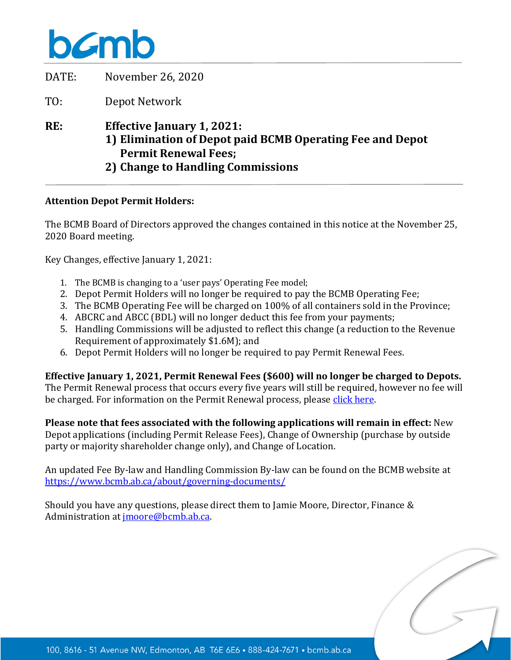# bamb

| DATE: | November 26, 2020                                                                                                                                                  |
|-------|--------------------------------------------------------------------------------------------------------------------------------------------------------------------|
| TO:   | Depot Network                                                                                                                                                      |
| RE:   | <b>Effective January 1, 2021:</b><br>1) Elimination of Depot paid BCMB Operating Fee and Depot<br><b>Permit Renewal Fees;</b><br>2) Change to Handling Commissions |

### **Attention Depot Permit Holders:**

The BCMB Board of Directors approved the changes contained in this notice at the November 25, 2020 Board meeting.

Key Changes, effective January 1, 2021:

- 1. The BCMB is changing to a 'user pays' Operating Fee model;
- 2. Depot Permit Holders will no longer be required to pay the BCMB Operating Fee;
- 3. The BCMB Operating Fee will be charged on 100% of all containers sold in the Province;
- 4. ABCRC and ABCC (BDL) will no longer deduct this fee from your payments;
- 5. Handling Commissions will be adjusted to reflect this change (a reduction to the Revenue Requirement of approximately \$1.6M); and
- 6. Depot Permit Holders will no longer be required to pay Permit Renewal Fees.

#### **Effective January 1, 2021, Permit Renewal Fees (\$600) will no longer be charged to Depots.**

The Permit Renewal process that occurs every five years will still be required, however no fee will be charged. For information on the Permit Renewal process, please [click here.](https://www.bcmb.ab.ca/depot-owners-operators/depot-application-packages/permit-renewal-application/) 

**Please note that fees associated with the following applications will remain in effect:** New Depot applications (including Permit Release Fees), Change of Ownership (purchase by outside party or majority shareholder change only), and Change of Location.

An updated Fee By-law and Handling Commission By-law can be found on the BCMB website at <https://www.bcmb.ab.ca/about/governing-documents/>

Should you have any questions, please direct them to Jamie Moore, Director, Finance & Administration at [jmoore@bcmb.ab.ca.](mailto:jmoore@bcmb.ab.ca)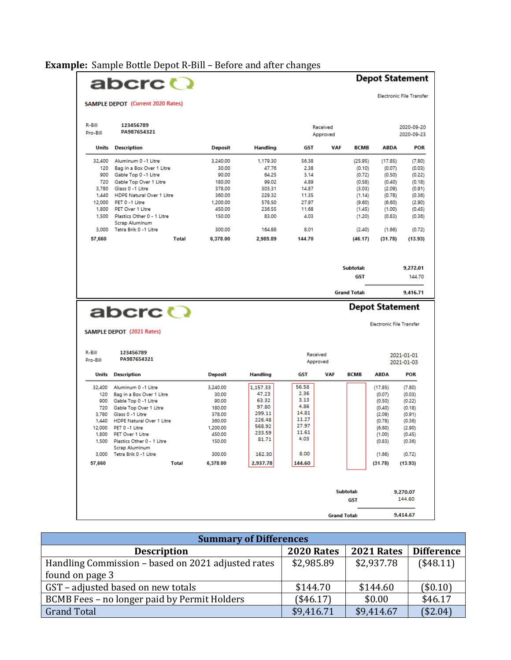**Example:** Sample Bottle Depot R-Bill – Before and after changes

#### $\overline{\phantom{a}}$  $\overline{c}$ t

|                    | abcrc ()                                     |          |          |                                                    |     |                                         |             | <b>Depot Statement</b>         |  |
|--------------------|----------------------------------------------|----------|----------|----------------------------------------------------|-----|-----------------------------------------|-------------|--------------------------------|--|
|                    | <b>SAMPLE DEPOT</b> (Current 2020 Rates)     |          |          |                                                    |     |                                         |             | <b>Electronic File Transfe</b> |  |
| R-Bill<br>Pro-Bill | 123456789<br>PA987654321                     |          |          | Received<br>Approved                               |     |                                         |             | 2020-09-20<br>2020-09-23       |  |
| Units              | <b>Description</b>                           | Deposit  | Handling | GST                                                | VAF | <b>BCMB</b>                             | <b>ABDA</b> | <b>POR</b>                     |  |
| 32,400             | Aluminum 0 -1 Litre                          | 3.240.00 | 1,179.30 | 56.38                                              |     | (25.95)                                 | (17.85)     | (7.80)                         |  |
| 120                | Bag in a Box Over 1 Litre                    | 30.00    | 47.76    | 2.38                                               |     | (0.10)                                  | (0.07)      | (0.03)                         |  |
| 900                | Gable Top 0 -1 Litre                         | 90.00    | 64.25    | 3.14                                               |     | (0.72)                                  | (0.50)      | (0.22)                         |  |
| 720                | Gable Top Over 1 Litre                       | 180.00   | 99.02    | 4.89                                               |     | (0.58)                                  | (0.40)      | (0.18)                         |  |
| 3.780              | Glass 0 -1 Litre                             | 378.00   | 303.31   | 14.87                                              |     | (3.03)                                  | (2.09)      | (0.91)                         |  |
| 1,440              | HDPE Natural Over 1 Litre                    | 360.00   | 229.32   | 11.35                                              |     | (1.14)                                  | (0.78)      | (0.36)                         |  |
| 12,000             | PET 0 -1 Litre                               | 1,200.00 | 578.50   | 27.97                                              |     | (9.60)                                  | (6.60)      | (2.90)                         |  |
| 1,800              | PET Over 1 Litre                             | 450.00   | 236.55   | 11.68                                              |     | (1.45)                                  | (1.00)      | (0.45)                         |  |
| 1,500              | Plastics Other 0 - 1 Litre                   | 150.00   | 83.00    | 4.03                                               |     | (1.20)                                  | (0.83)      | (0.36)                         |  |
| 3,000              | Scrap Aluminum<br>Tetra Brik 0 -1 Litre      | 300.00   | 164.88   | 8.01                                               |     | (2.40)                                  | (1.66)      | (0.72)                         |  |
| 57,660             | Total                                        | 6,378.00 | 2,985.89 | 144.70                                             |     | (46.17)                                 | (31.78)     | (13.93)                        |  |
|                    |                                              |          |          |                                                    |     | Subtotal:<br>GST                        |             | 9,272.01<br>144.70             |  |
|                    |                                              |          |          |                                                    |     | <b>Grand Total:</b>                     |             | 9,416.71                       |  |
|                    | abcrc <b>O</b><br>SAMPLE DEPOT (2021 Rates)  |          |          | <b>Depot Statement</b><br>Electronic File Transfer |     |                                         |             |                                |  |
| R-Bill<br>Pro-Bill | 123456789<br>PA987654321                     |          |          | Received<br>Approved                               |     | 2021-01-01<br>2021-01-03                |             |                                |  |
| Units              | <b>Description</b>                           | Deposit  | Handling | GST                                                | VAF | <b>BCMB</b>                             | <b>ABDA</b> | <b>POR</b>                     |  |
| 32.400             | Aluminum 0 -1 Litre                          | 3,240.00 | 1,157.33 | 56.58                                              |     |                                         | (17.85)     | (7.80)                         |  |
| 120                | Bag in a Box Over 1 Litre                    | 30.00    | 47.23    | 2.36                                               |     |                                         | (0.07)      | (0.03)                         |  |
| 900                | Gable Top 0 -1 Litre                         | 90.00    | 63.32    | 3.13                                               |     |                                         | (0.50)      | (0.22)                         |  |
| 720                | Gable Top Over 1 Litre                       | 180.00   | 97.80    | 4.86                                               |     |                                         | (0.40)      | (0.18)                         |  |
| 3,780              | Glass 0 -1 Litre                             | 378.00   | 299.11   | 14.81                                              |     |                                         | (2.09)      | (0.91)                         |  |
| 1,440              | HDPE Natural Over 1 Litre                    | 360.00   | 226.48   | 11.27                                              |     |                                         | (0.78)      | (0.36)                         |  |
| 12,000             | PET 0 -1 Litre                               | 1,200.00 | 568.92   | 27.97                                              |     |                                         | (6.60)      | (2.90)                         |  |
| 1,800              | PET Over 1 Litre                             | 450.00   | 233.59   | 11.61                                              |     |                                         | (1.00)      | (0.45)                         |  |
| 1,500              | Plastics Other 0 - 1 Litre<br>Scrap Aluminum | 150.00   | 81.71    | 4.03                                               |     |                                         | (0.83)      | (0.36)                         |  |
| 3,000              | Tetra Brik 0 -1 Litre                        | 300.00   | 162.30   | 8.00                                               |     |                                         | (1.66)      | (0.72)                         |  |
| 57,660             | Total                                        | 6,378.00 | 2,937.78 | 144.60                                             |     |                                         | (31.78)     | (13.93)                        |  |
|                    |                                              |          |          |                                                    |     | Subtotal:<br>GST<br><b>Grand Total:</b> |             | 9,270.07<br>144.60<br>9.414.67 |  |

| <b>Summary of Differences</b>                      |            |            |                   |  |  |  |
|----------------------------------------------------|------------|------------|-------------------|--|--|--|
| <b>Description</b>                                 | 2020 Rates | 2021 Rates | <b>Difference</b> |  |  |  |
| Handling Commission - based on 2021 adjusted rates | \$2,985.89 | \$2,937.78 | (\$48.11)         |  |  |  |
| found on page 3                                    |            |            |                   |  |  |  |
| GST - adjusted based on new totals                 | \$144.70   | \$144.60   | (\$0.10)          |  |  |  |
| BCMB Fees - no longer paid by Permit Holders       | (\$46.17)  | \$0.00     | \$46.17           |  |  |  |
| <b>Grand Total</b>                                 | \$9,416.71 | \$9,414.67 | (\$2.04)          |  |  |  |